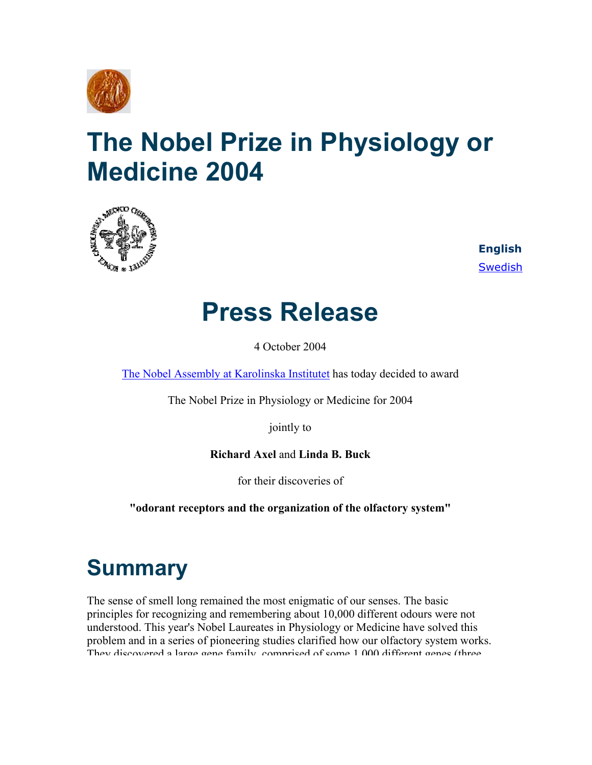

# **The Nobel Prize in Physiology or Medicine 2004**



**English** [Swedish](http://nobelprize.org/nobel_prizes/medicine/laureates/2004/press-sv.html)

## **Press Release**

4 October 2004

[The Nobel Assembly at Karolinska Institutet](http://nobelprize.org/redirect/links_out/prizeawarder.php?from=/nobel_prizes/medicine/laureates/2004/press.html&object=ki&to=http://www.mednobel.ki.se) has today decided to award

The Nobel Prize in Physiology or Medicine for 2004

jointly to

**Richard Axel** and **Linda B. Buck**

for their discoveries of

**"odorant receptors and the organization of the olfactory system"**

## **Summary**

The sense of smell long remained the most enigmatic of our senses. The basic principles for recognizing and remembering about 10,000 different odours were not understood. This year's Nobel Laureates in Physiology or Medicine have solved this problem and in a series of pioneering studies clarified how our olfactory system works. They discovered a large gene family comprised of some 1 000 different genes (three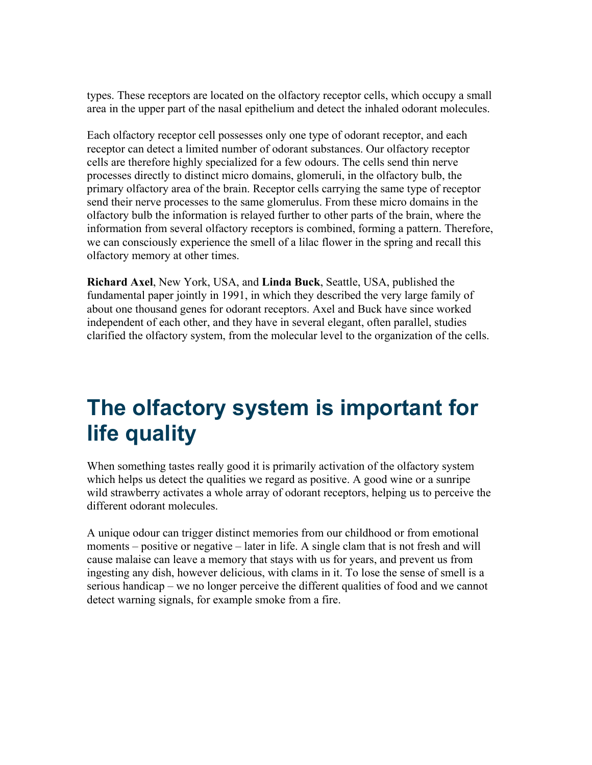types. These receptors are located on the olfactory receptor cells, which occupy a small area in the upper part of the nasal epithelium and detect the inhaled odorant molecules.

Each olfactory receptor cell possesses only one type of odorant receptor, and each receptor can detect a limited number of odorant substances. Our olfactory receptor cells are therefore highly specialized for a few odours. The cells send thin nerve processes directly to distinct micro domains, glomeruli, in the olfactory bulb, the primary olfactory area of the brain. Receptor cells carrying the same type of receptor send their nerve processes to the same glomerulus. From these micro domains in the olfactory bulb the information is relayed further to other parts of the brain, where the information from several olfactory receptors is combined, forming a pattern. Therefore, we can consciously experience the smell of a lilac flower in the spring and recall this olfactory memory at other times.

**Richard Axel**, New York, USA, and **Linda Buck**, Seattle, USA, published the fundamental paper jointly in 1991, in which they described the very large family of about one thousand genes for odorant receptors. Axel and Buck have since worked independent of each other, and they have in several elegant, often parallel, studies clarified the olfactory system, from the molecular level to the organization of the cells.

## **The olfactory system is important for life quality**

When something tastes really good it is primarily activation of the olfactory system which helps us detect the qualities we regard as positive. A good wine or a sunripe wild strawberry activates a whole array of odorant receptors, helping us to perceive the different odorant molecules.

A unique odour can trigger distinct memories from our childhood or from emotional moments – positive or negative – later in life. A single clam that is not fresh and will cause malaise can leave a memory that stays with us for years, and prevent us from ingesting any dish, however delicious, with clams in it. To lose the sense of smell is a serious handicap – we no longer perceive the different qualities of food and we cannot detect warning signals, for example smoke from a fire.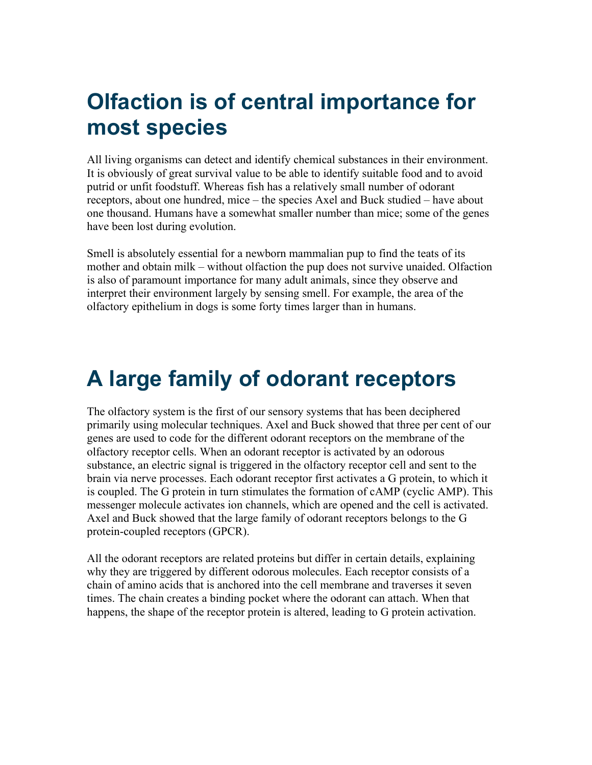### **Olfaction is of central importance for most species**

All living organisms can detect and identify chemical substances in their environment. It is obviously of great survival value to be able to identify suitable food and to avoid putrid or unfit foodstuff. Whereas fish has a relatively small number of odorant receptors, about one hundred, mice – the species Axel and Buck studied – have about one thousand. Humans have a somewhat smaller number than mice; some of the genes have been lost during evolution.

Smell is absolutely essential for a newborn mammalian pup to find the teats of its mother and obtain milk – without olfaction the pup does not survive unaided. Olfaction is also of paramount importance for many adult animals, since they observe and interpret their environment largely by sensing smell. For example, the area of the olfactory epithelium in dogs is some forty times larger than in humans.

## **A large family of odorant receptors**

The olfactory system is the first of our sensory systems that has been deciphered primarily using molecular techniques. Axel and Buck showed that three per cent of our genes are used to code for the different odorant receptors on the membrane of the olfactory receptor cells. When an odorant receptor is activated by an odorous substance, an electric signal is triggered in the olfactory receptor cell and sent to the brain via nerve processes. Each odorant receptor first activates a G protein, to which it is coupled. The G protein in turn stimulates the formation of cAMP (cyclic AMP). This messenger molecule activates ion channels, which are opened and the cell is activated. Axel and Buck showed that the large family of odorant receptors belongs to the G protein-coupled receptors (GPCR).

All the odorant receptors are related proteins but differ in certain details, explaining why they are triggered by different odorous molecules. Each receptor consists of a chain of amino acids that is anchored into the cell membrane and traverses it seven times. The chain creates a binding pocket where the odorant can attach. When that happens, the shape of the receptor protein is altered, leading to G protein activation.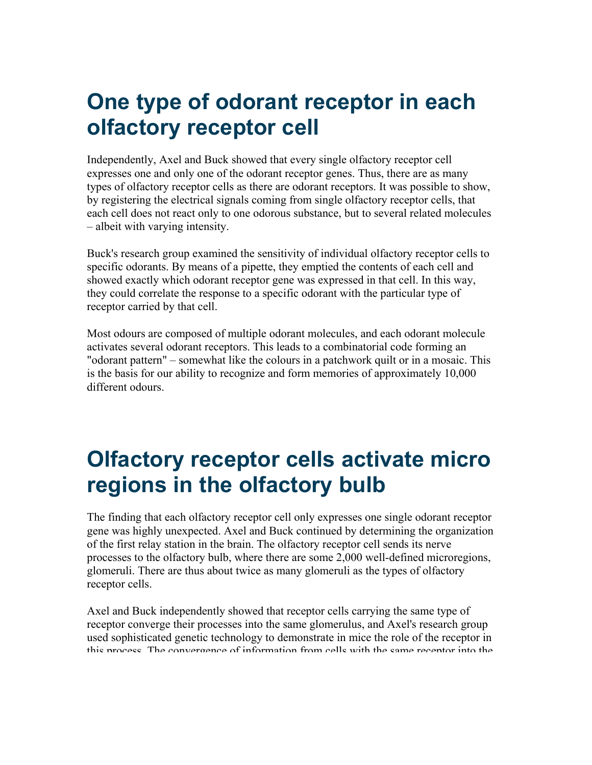#### **One type of odorant receptor in each olfactory receptor cell**

Independently, Axel and Buck showed that every single olfactory receptor cell expresses one and only one of the odorant receptor genes. Thus, there are as many types of olfactory receptor cells as there are odorant receptors. It was possible to show, by registering the electrical signals coming from single olfactory receptor cells, that each cell does not react only to one odorous substance, but to several related molecules – albeit with varying intensity.

Buck's research group examined the sensitivity of individual olfactory receptor cells to specific odorants. By means of a pipette, they emptied the contents of each cell and showed exactly which odorant receptor gene was expressed in that cell. In this way, they could correlate the response to a specific odorant with the particular type of receptor carried by that cell.

Most odours are composed of multiple odorant molecules, and each odorant molecule activates several odorant receptors. This leads to a combinatorial code forming an "odorant pattern" – somewhat like the colours in a patchwork quilt or in a mosaic. This is the basis for our ability to recognize and form memories of approximately 10,000 different odours.

## **Olfactory receptor cells activate micro regions in the olfactory bulb**

The finding that each olfactory receptor cell only expresses one single odorant receptor gene was highly unexpected. Axel and Buck continued by determining the organization of the first relay station in the brain. The olfactory receptor cell sends its nerve processes to the olfactory bulb, where there are some 2,000 well-defined microregions, glomeruli. There are thus about twice as many glomeruli as the types of olfactory receptor cells.

Axel and Buck independently showed that receptor cells carrying the same type of receptor converge their processes into the same glomerulus, and Axel's research group used sophisticated genetic technology to demonstrate in mice the role of the receptor in this process The convergence of information from cells with the same receptor into the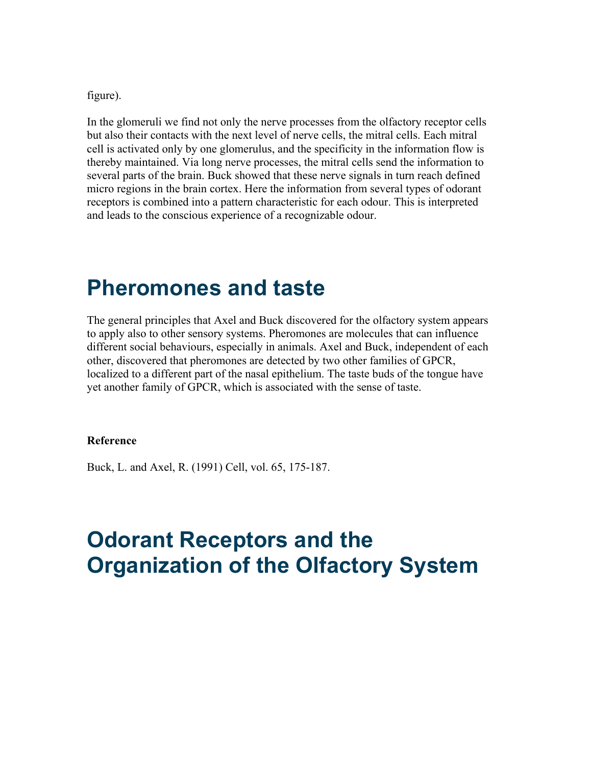figure).

In the glomeruli we find not only the nerve processes from the olfactory receptor cells but also their contacts with the next level of nerve cells, the mitral cells. Each mitral cell is activated only by one glomerulus, and the specificity in the information flow is thereby maintained. Via long nerve processes, the mitral cells send the information to several parts of the brain. Buck showed that these nerve signals in turn reach defined micro regions in the brain cortex. Here the information from several types of odorant receptors is combined into a pattern characteristic for each odour. This is interpreted and leads to the conscious experience of a recognizable odour.

#### **Pheromones and taste**

The general principles that Axel and Buck discovered for the olfactory system appears to apply also to other sensory systems. Pheromones are molecules that can influence different social behaviours, especially in animals. Axel and Buck, independent of each other, discovered that pheromones are detected by two other families of GPCR, localized to a different part of the nasal epithelium. The taste buds of the tongue have yet another family of GPCR, which is associated with the sense of taste.

#### **Reference**

Buck, L. and Axel, R. (1991) Cell, vol. 65, 175-187.

#### **Odorant Receptors and the Organization of the Olfactory System**